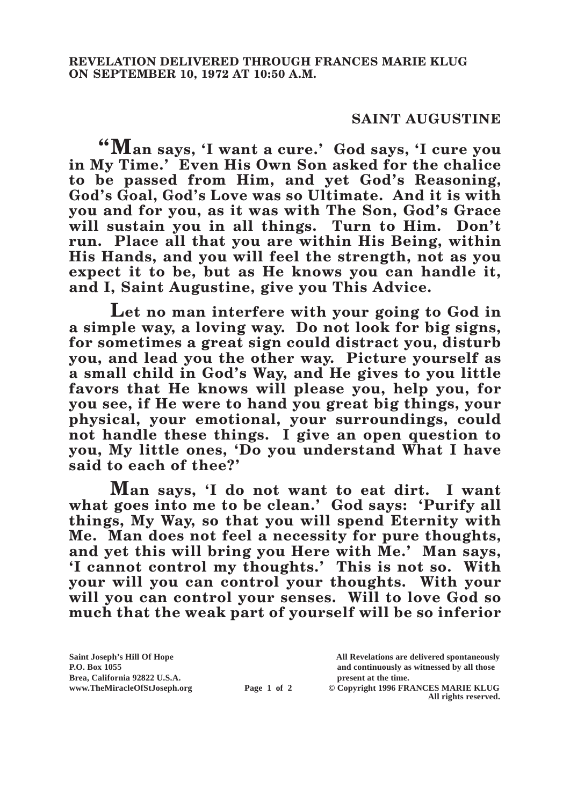## **SAINT AUGUSTINE**

**"Man says, 'I want a cure.' God says, 'I cure you in My Time.' Even His Own Son asked for the chalice to be passed from Him, and yet God's Reasoning, God's Goal, God's Love was so Ultimate. And it is with you and for you, as it was with The Son, God's Grace will sustain you in all things. Turn to Him. Don't run. Place all that you are within His Being, within His Hands, and you will feel the strength, not as you expect it to be, but as He knows you can handle it, and I, Saint Augustine, give you This Advice.**

**Let no man interfere with your going to God in a simple way, a loving way. Do not look for big signs, for sometimes a great sign could distract you, disturb you, and lead you the other way. Picture yourself as a small child in God's Way, and He gives to you little favors that He knows will please you, help you, for you see, if He were to hand you great big things, your physical, your emotional, your surroundings, could not handle these things. I give an open question to you, My little ones, 'Do you understand What I have said to each of thee?'**

**Man says, 'I do not want to eat dirt. I want what goes into me to be clean.' God says: 'Purify all things, My Way, so that you will spend Eternity with Me. Man does not feel a necessity for pure thoughts, and yet this will bring you Here with Me.' Man says, 'I cannot control my thoughts.' This is not so. With your will you can control your thoughts. With your will you can control your senses. Will to love God so much that the weak part of yourself will be so inferior** 

**Saint Joseph's Hill Of Hope All Revelations are delivered spontaneously Brea, California 92822 U.S.A. present at the time.**

**P.O. Box 1055 and continuously as witnessed by all those** 

**www.TheMiracleOfStJoseph.org Page 1 of 2 © Copyright 1996 FRANCES MARIE KLUG All rights reserved.**